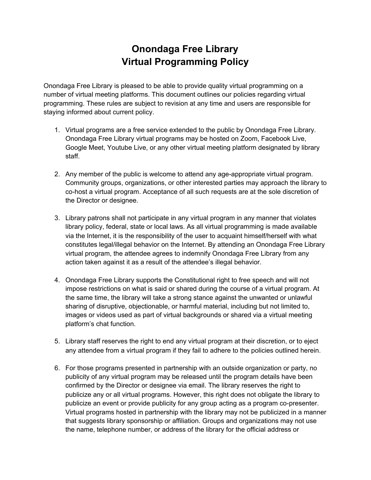## **Onondaga Free Library Virtual Programming Policy**

Onondaga Free Library is pleased to be able to provide quality virtual programming on a number of virtual meeting platforms. This document outlines our policies regarding virtual programming. These rules are subject to revision at any time and users are responsible for staying informed about current policy.

- 1. Virtual programs are a free service extended to the public by Onondaga Free Library. Onondaga Free Library virtual programs may be hosted on Zoom, Facebook Live, Google Meet, Youtube Live, or any other virtual meeting platform designated by library staff.
- 2. Any member of the public is welcome to attend any age-appropriate virtual program. Community groups, organizations, or other interested parties may approach the library to co-host a virtual program. Acceptance of all such requests are at the sole discretion of the Director or designee.
- 3. Library patrons shall not participate in any virtual program in any manner that violates library policy, federal, state or local laws. As all virtual programming is made available via the Internet, it is the responsibility of the user to acquaint himself/herself with what constitutes legal/illegal behavior on the Internet. By attending an Onondaga Free Library virtual program, the attendee agrees to indemnify Onondaga Free Library from any action taken against it as a result of the attendee's illegal behavior.
- 4. Onondaga Free Library supports the Constitutional right to free speech and will not impose restrictions on what is said or shared during the course of a virtual program. At the same time, the library will take a strong stance against the unwanted or unlawful sharing of disruptive, objectionable, or harmful material, including but not limited to, images or videos used as part of virtual backgrounds or shared via a virtual meeting platform's chat function.
- 5. Library staff reserves the right to end any virtual program at their discretion, or to eject any attendee from a virtual program if they fail to adhere to the policies outlined herein.
- 6. For those programs presented in partnership with an outside organization or party, no publicity of any virtual program may be released until the program details have been confirmed by the Director or designee via email. The library reserves the right to publicize any or all virtual programs. However, this right does not obligate the library to publicize an event or provide publicity for any group acting as a program co-presenter. Virtual programs hosted in partnership with the library may not be publicized in a manner that suggests library sponsorship or affiliation. Groups and organizations may not use the name, telephone number, or address of the library for the official address or